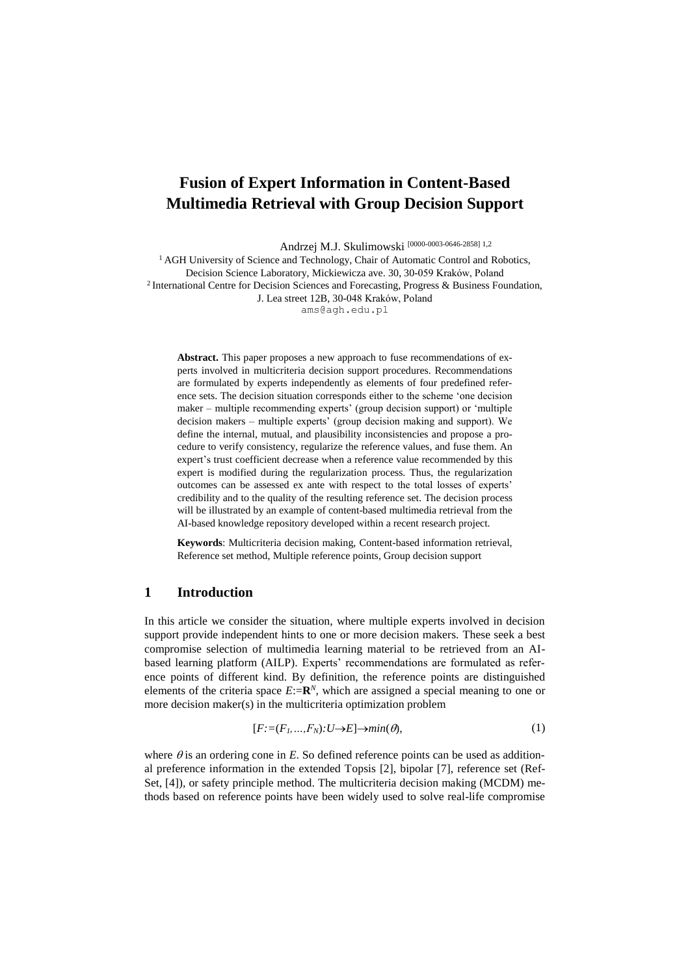# **Fusion of Expert Information in Content-Based Multimedia Retrieval with Group Decision Support**

Andrzej M.J. Skulimowski [0000-0003-0646-2858] 1,2

<sup>1</sup> AGH University of Science and Technology, Chair of Automatic Control and Robotics, Decision Science Laboratory, Mickiewicza ave. 30, 30-059 Kraków, Poland <sup>2</sup> International Centre for Decision Sciences and Forecasting, Progress & Business Foundation, J. Lea street 12B, 30-048 Kraków, Poland [ams@agh.edu.pl](mailto:ams@agh.edu.pl)

**Abstract.** This paper proposes a new approach to fuse recommendations of experts involved in multicriteria decision support procedures. Recommendations are formulated by experts independently as elements of four predefined reference sets. The decision situation corresponds either to the scheme 'one decision maker – multiple recommending experts' (group decision support) or 'multiple decision makers – multiple experts' (group decision making and support). We define the internal, mutual, and plausibility inconsistencies and propose a procedure to verify consistency, regularize the reference values, and fuse them. An expert's trust coefficient decrease when a reference value recommended by this expert is modified during the regularization process. Thus, the regularization outcomes can be assessed ex ante with respect to the total losses of experts' credibility and to the quality of the resulting reference set. The decision process will be illustrated by an example of content-based multimedia retrieval from the AI-based knowledge repository developed within a recent research project.

**Keywords**: Multicriteria decision making, Content-based information retrieval, Reference set method, Multiple reference points, Group decision support

# **1 Introduction**

In this article we consider the situation, where multiple experts involved in decision support provide independent hints to one or more decision makers. These seek a best compromise selection of multimedia learning material to be retrieved from an AIbased learning platform (AILP). Experts' recommendations are formulated as reference points of different kind. By definition, the reference points are distinguished elements of the criteria space  $E:=\mathbb{R}^N$ , which are assigned a special meaning to one or more decision maker(s) in the multicriteria optimization problem

<span id="page-0-0"></span>
$$
[F:=(F_1,...,F_N):U\to E]\to min(\theta),\tag{1}
$$

where  $\theta$  is an ordering cone in  $E$ . So defined reference points can be used as additional preference information in the extended Topsis [\[2\]](#page-4-0), bipolar [\[7\]](#page-4-1), reference set (Ref-Set, [\[4\]](#page-4-2)), or safety principle method. The multicriteria decision making (MCDM) methods based on reference points have been widely used to solve real-life compromise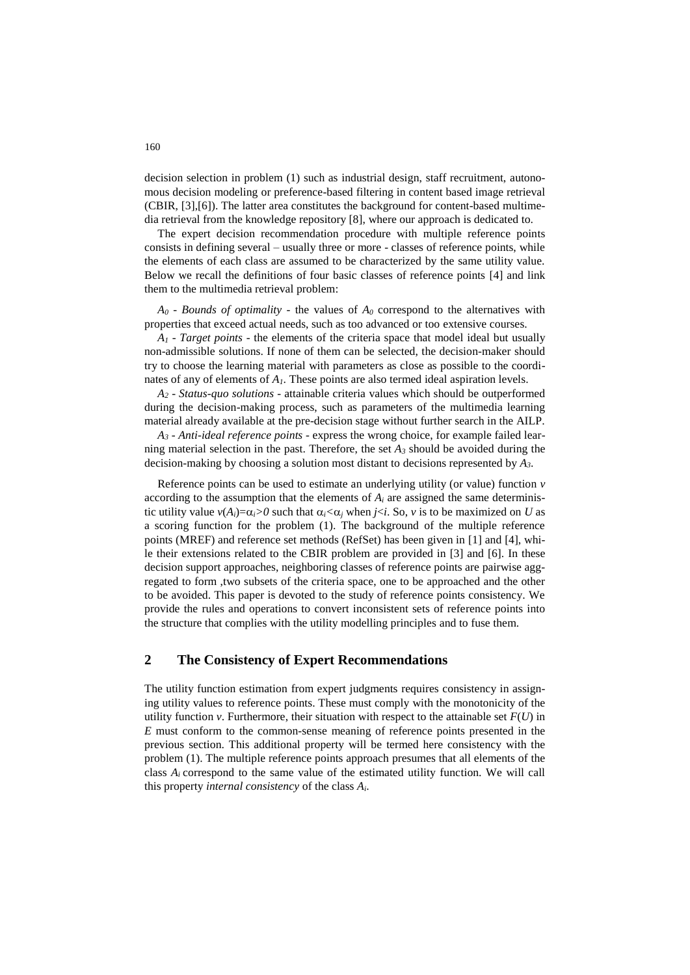decision selection in problem [\(1\)](#page-0-0) such as industrial design, staff recruitment, autonomous decision modeling or preference-based filtering in content based image retrieval (CBIR, [\[3\]](#page-4-3),[\[6\]](#page-4-4)). The latter area constitutes the background for content-based multimedia retrieval from the knowledge repository [\[8\]](#page-4-5), where our approach is dedicated to.

The expert decision recommendation procedure with multiple reference points consists in defining several – usually three or more - classes of reference points, while the elements of each class are assumed to be characterized by the same utility value. Below we recall the definitions of four basic classes of reference points [\[4\]](#page-4-2) and link them to the multimedia retrieval problem:

 $A_0$  - *Bounds of optimality* - the values of  $A_0$  correspond to the alternatives with properties that exceed actual needs, such as too advanced or too extensive courses.

*A<sup>1</sup>* - *Target points* - the elements of the criteria space that model ideal but usually non-admissible solutions. If none of them can be selected, the decision-maker should try to choose the learning material with parameters as close as possible to the coordinates of any of elements of *A1*. These points are also termed ideal aspiration levels.

*A<sup>2</sup>* - *Status-quo solutions* - attainable criteria values which should be outperformed during the decision-making process, such as parameters of the multimedia learning material already available at the pre-decision stage without further search in the AILP.

*A<sup>3</sup>* - *Anti-ideal reference points* - express the wrong choice, for example failed learning material selection in the past. Therefore, the set *A<sup>3</sup>* should be avoided during the decision-making by choosing a solution most distant to decisions represented by *A3*.

Reference points can be used to estimate an underlying utility (or value) function *v* according to the assumption that the elements of  $A_i$  are assigned the same deterministic utility value  $v(A_i)=\alpha_i>0$  such that  $\alpha_i<\alpha_i$  when  $i< i$ . So,  $v$  is to be maximized on U as a scoring function for the problem [\(1\).](#page-0-0) The background of the multiple reference points (MREF) and reference set methods (RefSet) has been given in [\[1\]](#page-4-6) and [\[4\]](#page-4-2), while their extensions related to the CBIR problem are provided in [\[3\]](#page-4-3) and [\[6\]](#page-4-4). In these decision support approaches, neighboring classes of reference points are pairwise aggregated to form ,two subsets of the criteria space, one to be approached and the other to be avoided. This paper is devoted to the study of reference points consistency. We provide the rules and operations to convert inconsistent sets of reference points into the structure that complies with the utility modelling principles and to fuse them.

# **2 The Consistency of Expert Recommendations**

The utility function estimation from expert judgments requires consistency in assigning utility values to reference points. These must comply with the monotonicity of the utility function *v*. Furthermore, their situation with respect to the attainable set  $F(U)$  in *E* must conform to the common-sense meaning of reference points presented in the previous section. This additional property will be termed here consistency with the proble[m \(1\).](#page-0-0) The multiple reference points approach presumes that all elements of the class  $A_i$  correspond to the same value of the estimated utility function. We will call this property *internal consistency* of the class *Ai*.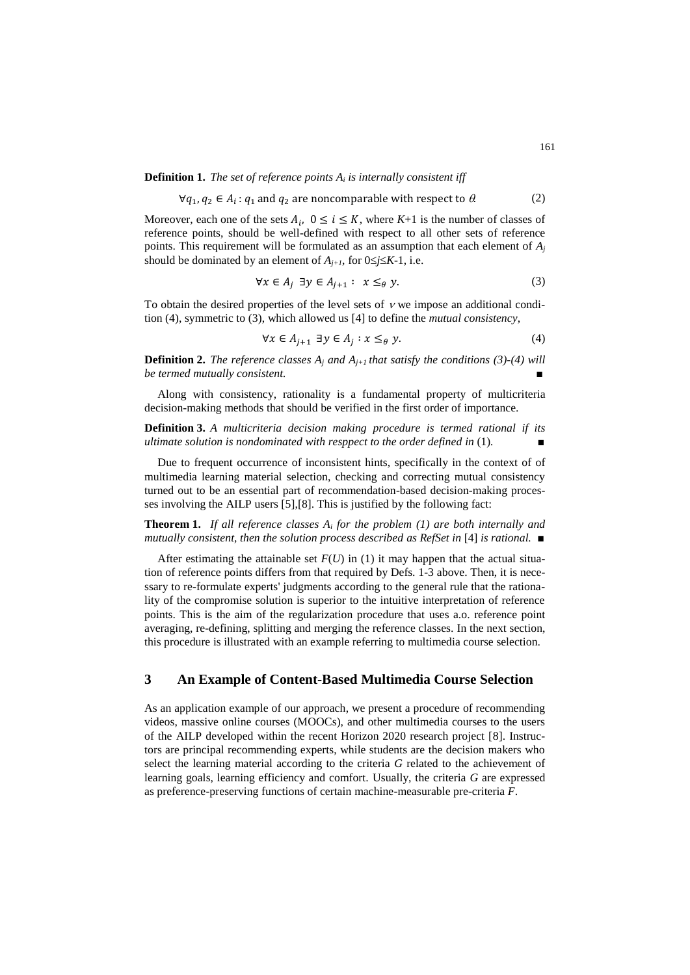**Definition 1.** *The set of reference points A<sup>i</sup> is internally consistent iff*

$$
\forall q_1, q_2 \in A_i : q_1 \text{ and } q_2 \text{ are noncomparable with respect to } \theta.
$$
 (2)

Moreover, each one of the sets  $A_i$ ,  $0 \le i \le K$ , where  $K+1$  is the number of classes of reference points, should be well-defined with respect to all other sets of reference points. This requirement will be formulated as an assumption that each element of *A<sup>j</sup>* should be dominated by an element of  $A_{i+1}$ , for  $0 \leq j \leq K-1$ , i.e.

<span id="page-2-2"></span><span id="page-2-1"></span>
$$
\forall x \in A_j \exists y \in A_{j+1} : x \leq_{\theta} y. \tag{3}
$$

To obtain the desired properties of the level sets of  $\nu$  we impose an additional condition [\(4\),](#page-2-0) symmetric to [\(3\),](#page-2-1) which allowed us [\[4\]](#page-4-2) to define the *mutual consistency*,

<span id="page-2-0"></span>
$$
\forall x \in A_{j+1} \exists y \in A_j : x \leq_{\theta} y. \tag{4}
$$

**Definition 2.** *The reference classes*  $A_i$  *and*  $A_{i+1}$  *that satisfy the conditions* [\(3\)-](#page-2-1)[\(4\)](#page-2-0) *will*  $be termed$  mutually consistent.

Along with consistency, rationality is a fundamental property of multicriteria decision-making methods that should be verified in the first order of importance.

**Definition 3.** *A multicriteria decision making procedure is termed rational if its ultimate solution is nondominated with resppect to the order defined in [\(1\)](#page-0-0).* 

Due to frequent occurrence of inconsistent hints, specifically in the context of of multimedia learning material selection, checking and correcting mutual consistency turned out to be an essential part of recommendation-based decision-making processes involving the AILP users [\[5\]](#page-4-7),[\[8\]](#page-4-5). This is justified by the following fact:

**Theorem 1.** *If all reference classes A<sup>i</sup> for the problem [\(1\)](#page-0-0) are both internally and mutually consistent, then the solution process described as RefSet in* [\[4\]](#page-4-2) *is rational.* ■

After estimating the attainable set  $F(U)$  in [\(1\)](#page-0-0) it may happen that the actual situation of reference points differs from that required by Defs. 1-3 above. Then, it is necessary to re-formulate experts' judgments according to the general rule that the rationality of the compromise solution is superior to the intuitive interpretation of reference points. This is the aim of the regularization procedure that uses a.o. reference point averaging, re-defining, splitting and merging the reference classes. In the next section, this procedure is illustrated with an example referring to multimedia course selection.

# **3 An Example of Content-Based Multimedia Course Selection**

As an application example of our approach, we present a procedure of recommending videos, massive online courses (MOOCs), and other multimedia courses to the users of the AILP developed within the recent Horizon 2020 research project [\[8\]](#page-4-5). Instructors are principal recommending experts, while students are the decision makers who select the learning material according to the criteria *G* related to the achievement of learning goals, learning efficiency and comfort. Usually, the criteria *G* are expressed as preference-preserving functions of certain machine-measurable pre-criteria *F*.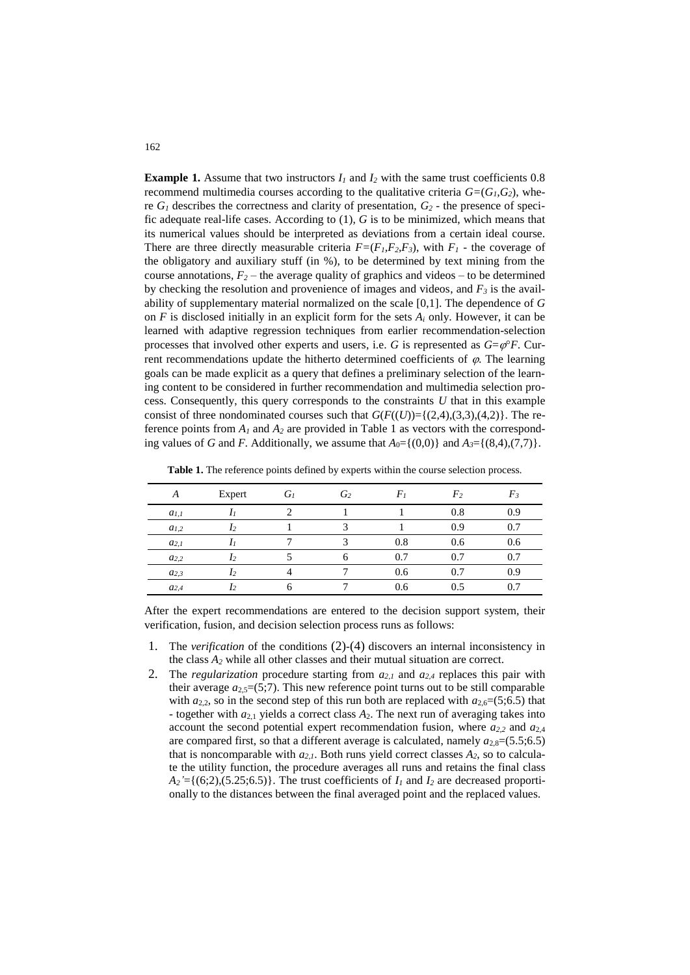**Example 1.** Assume that two instructors  $I_1$  and  $I_2$  with the same trust coefficients 0.8 recommend multimedia courses according to the qualitative criteria  $G=(G_I, G_2)$ , where *G<sup>1</sup>* describes the correctness and clarity of presentation, *G<sup>2</sup>* - the presence of specific adequate real-life cases. According to [\(1\),](#page-0-0) *G* is to be minimized, which means that its numerical values should be interpreted as deviations from a certain ideal course. There are three directly measurable criteria  $F=(F_1, F_2, F_3)$ , with  $F_1$  - the coverage of the obligatory and auxiliary stuff (in %), to be determined by text mining from the course annotations,  $F_2$  – the average quality of graphics and videos – to be determined by checking the resolution and provenience of images and videos, and *F<sup>3</sup>* is the availability of supplementary material normalized on the scale [0,1]. The dependence of *G* on *F* is disclosed initially in an explicit form for the sets *A<sup>i</sup>* only. However, it can be learned with adaptive regression techniques from earlier recommendation-selection processes that involved other experts and users, i.e. *G* is represented as  $G = \varphi^{\circ}F$ . Current recommendations update the hitherto determined coefficients of  $\varphi$ . The learning goals can be made explicit as a query that defines a preliminary selection of the learning content to be considered in further recommendation and multimedia selection process. Consequently, this query corresponds to the constraints *U* that in this example consist of three nondominated courses such that  $G(F((U)) = \{(2,4), (3,3), (4,2)\}\)$ . The reference points from  $A_i$  and  $A_i$  are provided in [Table 1](#page-3-0) as vectors with the corresponding values of *G* and *F*. Additionally, we assume that  $A_0 = \{(0,0)\}\$  and  $A_3 = \{(8,4),(7,7)\}\$ .

| A         | Expert | $G_I$ | G <sub>2</sub> | $F_I$ | F <sub>2</sub> | $F_3$ |
|-----------|--------|-------|----------------|-------|----------------|-------|
| $a_{I,I}$ |        |       |                |       | 0.8            | 0.9   |
| $a_{1,2}$ |        |       |                |       | 0.9            | 0.7   |
| $a_{2,1}$ |        |       |                | 0.8   | 0.6            | 0.6   |
| $a_{2,2}$ |        |       |                | 0.7   | 0.7            | 0.7   |
| $a_{2,3}$ |        |       |                | 0.6   | 0.7            | 0.9   |
| $a_{2,4}$ |        |       |                | 0.6   | 0.5            |       |

<span id="page-3-0"></span>**Table 1.** The reference points defined by experts within the course selection process.

After the expert recommendations are entered to the decision support system, their verification, fusion, and decision selection process runs as follows:

- 1. The *verification* of the conditions [\(2\)](#page-2-2)-[\(4\)](#page-2-0) discovers an internal inconsistency in the class *A<sup>2</sup>* while all other classes and their mutual situation are correct.
- 2. The *regularization* procedure starting from *a2,1* and *a2,4* replaces this pair with their average  $a_{2,5}=(5,7)$ . This new reference point turns out to be still comparable with  $a_{2,2}$ , so in the second step of this run both are replaced with  $a_{2,6}=(5,6.5)$  that - together with  $a_{2,1}$  yields a correct class  $A_2$ . The next run of averaging takes into account the second potential expert recommendation fusion, where *a2,2* and *a*2,4 are compared first, so that a different average is calculated, namely  $a_{2,8}=(5.5;6.5)$ that is noncomparable with  $a_{2,l}$ . Both runs yield correct classes  $A_2$ , so to calculate the utility function, the procedure averages all runs and retains the final class  $A_2' = \{(6, 2), (5.25, 6.5)\}\$ . The trust coefficients of  $I_1$  and  $I_2$  are decreased proportionally to the distances between the final averaged point and the replaced values.